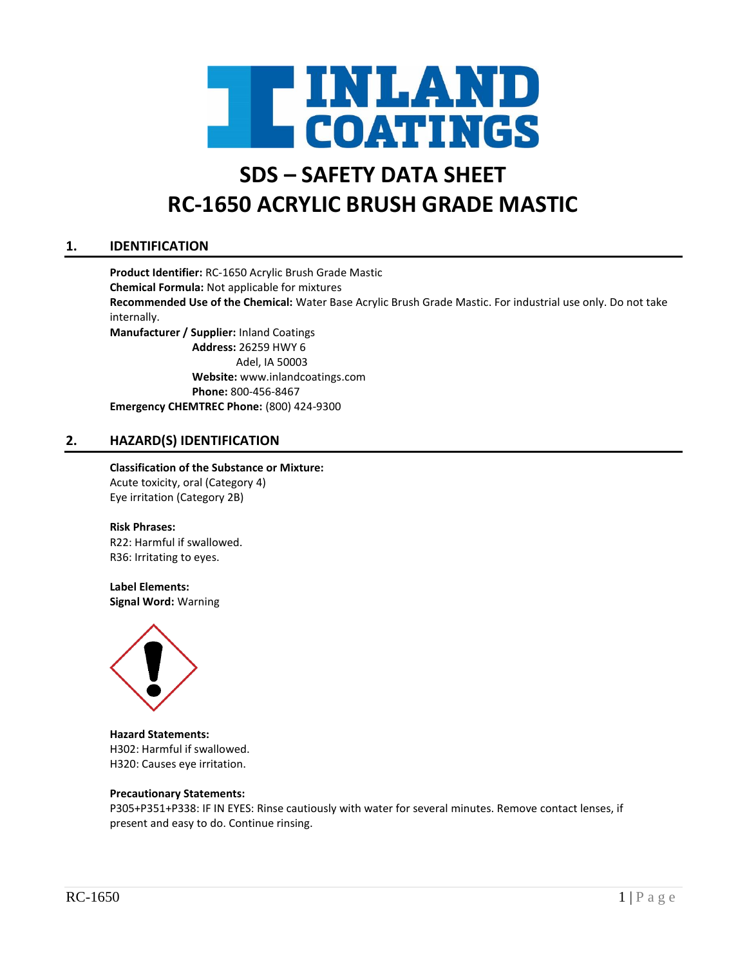

# **SDS – SAFETY DATA SHEET RC-1650 ACRYLIC BRUSH GRADE MASTIC**

# **1. IDENTIFICATION**

**Product Identifier:** RC-1650 Acrylic Brush Grade Mastic **Chemical Formula:** Not applicable for mixtures **Recommended Use of the Chemical:** Water Base Acrylic Brush Grade Mastic. For industrial use only. Do not take internally. **Manufacturer / Supplier:** Inland Coatings **Address:** 26259 HWY 6 Adel, IA 50003 **Website:** www.inlandcoatings.com **Phone:** 800-456-8467 **Emergency CHEMTREC Phone:** (800) 424-9300

## **2. HAZARD(S) IDENTIFICATION**

# **Classification of the Substance or Mixture:**

Acute toxicity, oral (Category 4) Eye irritation (Category 2B)

#### **Risk Phrases:**

R22: Harmful if swallowed. R36: Irritating to eyes.

#### **Label Elements:**

**Signal Word:** Warning



**Hazard Statements:** H302: Harmful if swallowed. H320: Causes eye irritation.

#### **Precautionary Statements:**

P305+P351+P338: IF IN EYES: Rinse cautiously with water for several minutes. Remove contact lenses, if present and easy to do. Continue rinsing.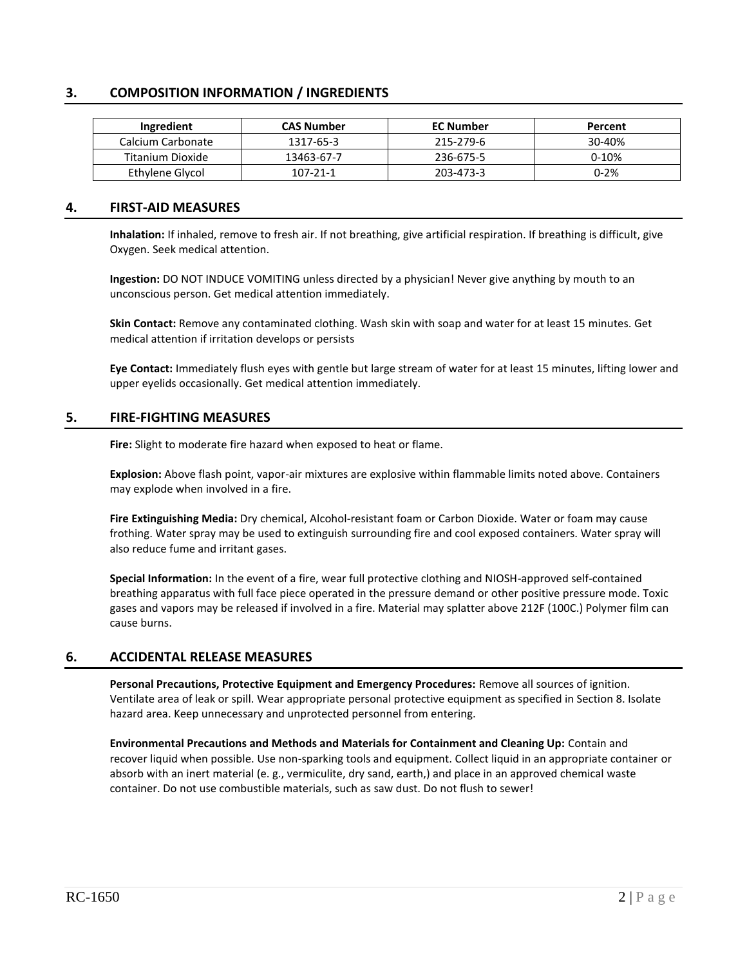# **3. COMPOSITION INFORMATION / INGREDIENTS**

| Ingredient        | <b>CAS Number</b> | <b>EC Number</b> | Percent  |
|-------------------|-------------------|------------------|----------|
| Calcium Carbonate | 1317-65-3         | 215-279-6        | 30-40%   |
| Titanium Dioxide  | 13463-67-7        | 236-675-5        | $0-10%$  |
| Ethylene Glycol   | 107-21-1          | 203-473-3        | $0 - 2%$ |

#### **4. FIRST-AID MEASURES**

**Inhalation:** If inhaled, remove to fresh air. If not breathing, give artificial respiration. If breathing is difficult, give Oxygen. Seek medical attention.

**Ingestion:** DO NOT INDUCE VOMITING unless directed by a physician! Never give anything by mouth to an unconscious person. Get medical attention immediately.

**Skin Contact:** Remove any contaminated clothing. Wash skin with soap and water for at least 15 minutes. Get medical attention if irritation develops or persists

**Eye Contact:** Immediately flush eyes with gentle but large stream of water for at least 15 minutes, lifting lower and upper eyelids occasionally. Get medical attention immediately.

#### **5. FIRE-FIGHTING MEASURES**

**Fire:** Slight to moderate fire hazard when exposed to heat or flame.

**Explosion:** Above flash point, vapor-air mixtures are explosive within flammable limits noted above. Containers may explode when involved in a fire.

**Fire Extinguishing Media:** Dry chemical, Alcohol-resistant foam or Carbon Dioxide. Water or foam may cause frothing. Water spray may be used to extinguish surrounding fire and cool exposed containers. Water spray will also reduce fume and irritant gases.

**Special Information:** In the event of a fire, wear full protective clothing and NIOSH-approved self-contained breathing apparatus with full face piece operated in the pressure demand or other positive pressure mode. Toxic gases and vapors may be released if involved in a fire. Material may splatter above 212F (100C.) Polymer film can cause burns.

## **6. ACCIDENTAL RELEASE MEASURES**

**Personal Precautions, Protective Equipment and Emergency Procedures:** Remove all sources of ignition. Ventilate area of leak or spill. Wear appropriate personal protective equipment as specified in Section 8. Isolate hazard area. Keep unnecessary and unprotected personnel from entering.

**Environmental Precautions and Methods and Materials for Containment and Cleaning Up:** Contain and recover liquid when possible. Use non-sparking tools and equipment. Collect liquid in an appropriate container or absorb with an inert material (e. g., vermiculite, dry sand, earth,) and place in an approved chemical waste container. Do not use combustible materials, such as saw dust. Do not flush to sewer!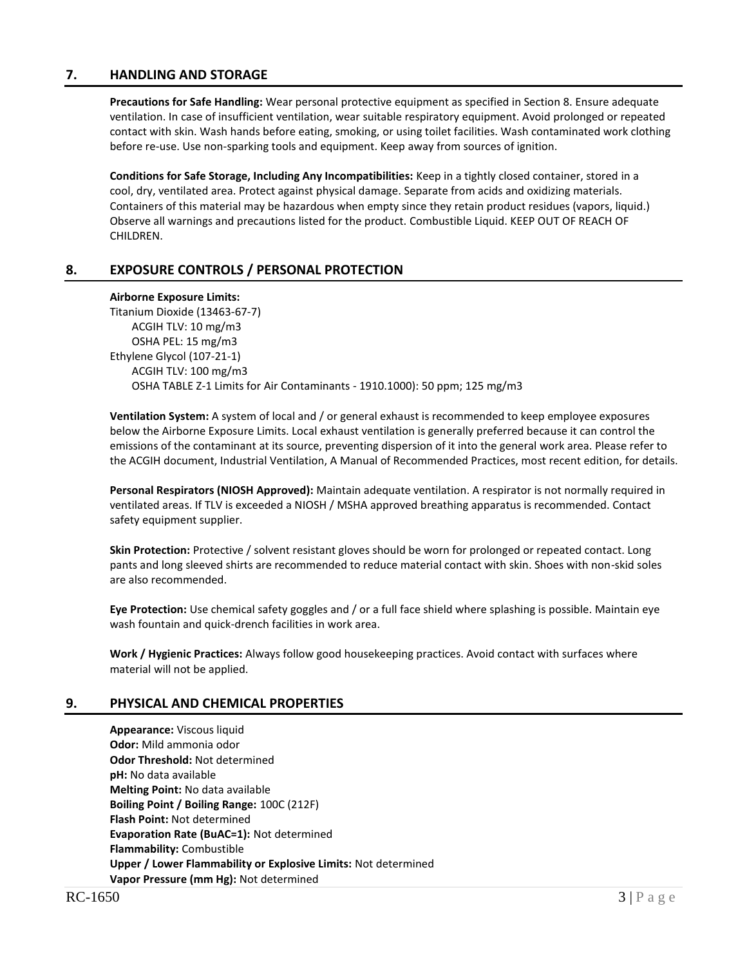## **7. HANDLING AND STORAGE**

**Precautions for Safe Handling:** Wear personal protective equipment as specified in Section 8. Ensure adequate ventilation. In case of insufficient ventilation, wear suitable respiratory equipment. Avoid prolonged or repeated contact with skin. Wash hands before eating, smoking, or using toilet facilities. Wash contaminated work clothing before re-use. Use non-sparking tools and equipment. Keep away from sources of ignition.

**Conditions for Safe Storage, Including Any Incompatibilities:** Keep in a tightly closed container, stored in a cool, dry, ventilated area. Protect against physical damage. Separate from acids and oxidizing materials. Containers of this material may be hazardous when empty since they retain product residues (vapors, liquid.) Observe all warnings and precautions listed for the product. Combustible Liquid. KEEP OUT OF REACH OF CHILDREN.

## **8. EXPOSURE CONTROLS / PERSONAL PROTECTION**

#### **Airborne Exposure Limits:**

Titanium Dioxide (13463-67-7) ACGIH TLV: 10 mg/m3 OSHA PEL: 15 mg/m3 Ethylene Glycol (107-21-1) ACGIH TLV: 100 mg/m3 OSHA TABLE Z-1 Limits for Air Contaminants - 1910.1000): 50 ppm; 125 mg/m3

**Ventilation System:** A system of local and / or general exhaust is recommended to keep employee exposures below the Airborne Exposure Limits. Local exhaust ventilation is generally preferred because it can control the emissions of the contaminant at its source, preventing dispersion of it into the general work area. Please refer to the ACGIH document, Industrial Ventilation, A Manual of Recommended Practices, most recent edition, for details.

**Personal Respirators (NIOSH Approved):** Maintain adequate ventilation. A respirator is not normally required in ventilated areas. If TLV is exceeded a NIOSH / MSHA approved breathing apparatus is recommended. Contact safety equipment supplier.

**Skin Protection:** Protective / solvent resistant gloves should be worn for prolonged or repeated contact. Long pants and long sleeved shirts are recommended to reduce material contact with skin. Shoes with non-skid soles are also recommended.

**Eye Protection:** Use chemical safety goggles and / or a full face shield where splashing is possible. Maintain eye wash fountain and quick-drench facilities in work area.

**Work / Hygienic Practices:** Always follow good housekeeping practices. Avoid contact with surfaces where material will not be applied.

## **9. PHYSICAL AND CHEMICAL PROPERTIES**

**Appearance:** Viscous liquid **Odor:** Mild ammonia odor **Odor Threshold:** Not determined **pH:** No data available **Melting Point:** No data available **Boiling Point / Boiling Range:** 100C (212F) **Flash Point:** Not determined **Evaporation Rate (BuAC=1):** Not determined **Flammability:** Combustible **Upper / Lower Flammability or Explosive Limits:** Not determined **Vapor Pressure (mm Hg):** Not determined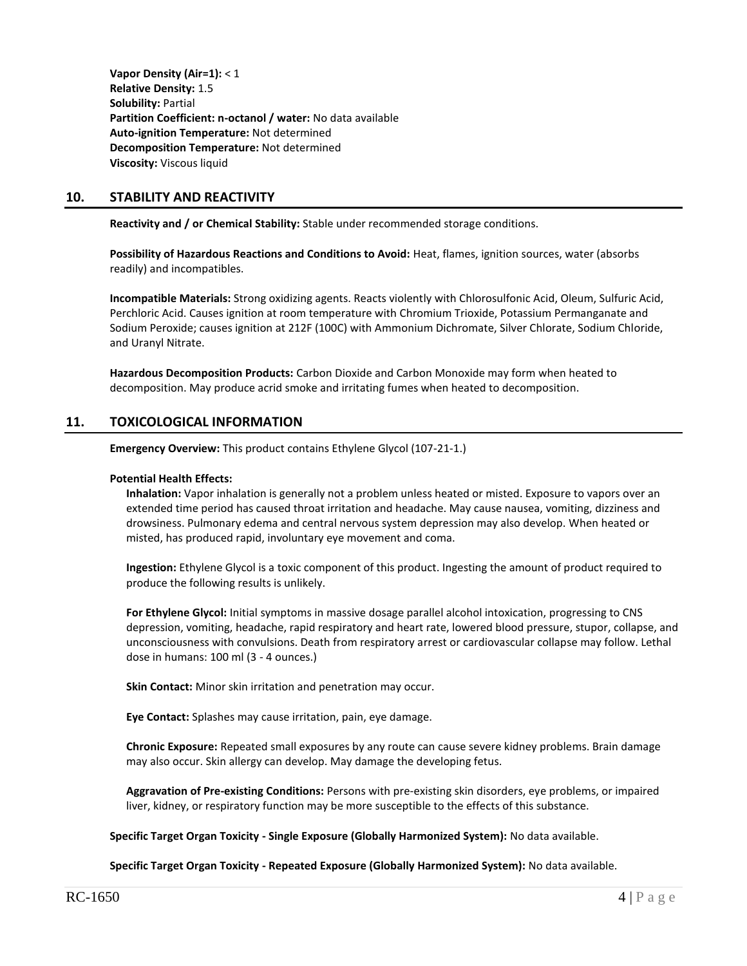**Vapor Density (Air=1):** < 1 **Relative Density:** 1.5 **Solubility:** Partial **Partition Coefficient: n-octanol / water:** No data available **Auto-ignition Temperature:** Not determined **Decomposition Temperature:** Not determined **Viscosity:** Viscous liquid

## **10. STABILITY AND REACTIVITY**

**Reactivity and / or Chemical Stability:** Stable under recommended storage conditions.

**Possibility of Hazardous Reactions and Conditions to Avoid:** Heat, flames, ignition sources, water (absorbs readily) and incompatibles.

**Incompatible Materials:** Strong oxidizing agents. Reacts violently with Chlorosulfonic Acid, Oleum, Sulfuric Acid, Perchloric Acid. Causes ignition at room temperature with Chromium Trioxide, Potassium Permanganate and Sodium Peroxide; causes ignition at 212F (100C) with Ammonium Dichromate, Silver Chlorate, Sodium Chloride, and Uranyl Nitrate.

**Hazardous Decomposition Products:** Carbon Dioxide and Carbon Monoxide may form when heated to decomposition. May produce acrid smoke and irritating fumes when heated to decomposition.

## **11. TOXICOLOGICAL INFORMATION**

**Emergency Overview:** This product contains Ethylene Glycol (107-21-1.)

#### **Potential Health Effects:**

**Inhalation:** Vapor inhalation is generally not a problem unless heated or misted. Exposure to vapors over an extended time period has caused throat irritation and headache. May cause nausea, vomiting, dizziness and drowsiness. Pulmonary edema and central nervous system depression may also develop. When heated or misted, has produced rapid, involuntary eye movement and coma.

**Ingestion:** Ethylene Glycol is a toxic component of this product. Ingesting the amount of product required to produce the following results is unlikely.

**For Ethylene Glycol:** Initial symptoms in massive dosage parallel alcohol intoxication, progressing to CNS depression, vomiting, headache, rapid respiratory and heart rate, lowered blood pressure, stupor, collapse, and unconsciousness with convulsions. Death from respiratory arrest or cardiovascular collapse may follow. Lethal dose in humans: 100 ml (3 - 4 ounces.)

**Skin Contact:** Minor skin irritation and penetration may occur.

**Eye Contact:** Splashes may cause irritation, pain, eye damage.

**Chronic Exposure:** Repeated small exposures by any route can cause severe kidney problems. Brain damage may also occur. Skin allergy can develop. May damage the developing fetus.

**Aggravation of Pre-existing Conditions:** Persons with pre-existing skin disorders, eye problems, or impaired liver, kidney, or respiratory function may be more susceptible to the effects of this substance.

**Specific Target Organ Toxicity - Single Exposure (Globally Harmonized System):** No data available.

**Specific Target Organ Toxicity - Repeated Exposure (Globally Harmonized System):** No data available.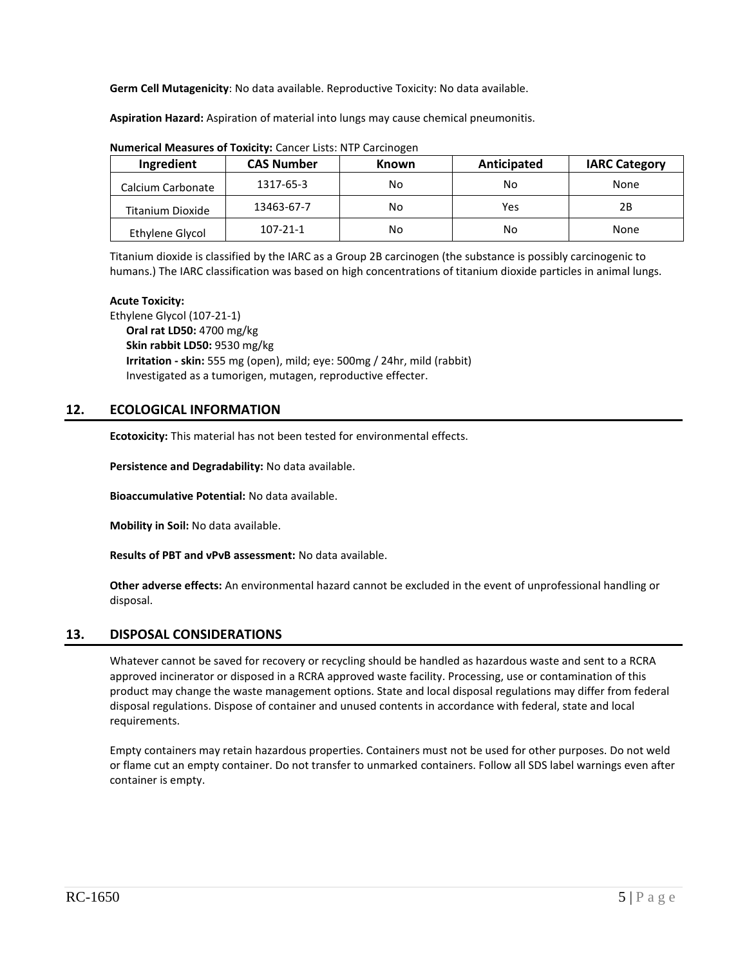**Germ Cell Mutagenicity**: No data available. Reproductive Toxicity: No data available.

**Aspiration Hazard:** Aspiration of material into lungs may cause chemical pneumonitis.

| Ingredient        | <b>CAS Number</b> | <b>Known</b> | Anticipated | <b>IARC Category</b> |  |  |
|-------------------|-------------------|--------------|-------------|----------------------|--|--|
| Calcium Carbonate | 1317-65-3         | No           | No          | None                 |  |  |
| Titanium Dioxide  | 13463-67-7        | No           | Yes         | 2Β                   |  |  |
| Ethylene Glycol   | $107 - 21 - 1$    | No           | No          | None                 |  |  |

**Numerical Measures of Toxicity:** Cancer Lists: NTP Carcinogen

Titanium dioxide is classified by the IARC as a Group 2B carcinogen (the substance is possibly carcinogenic to humans.) The IARC classification was based on high concentrations of titanium dioxide particles in animal lungs.

#### **Acute Toxicity:**

Ethylene Glycol (107-21-1) **Oral rat LD50:** 4700 mg/kg **Skin rabbit LD50:** 9530 mg/kg **Irritation - skin:** 555 mg (open), mild; eye: 500mg / 24hr, mild (rabbit) Investigated as a tumorigen, mutagen, reproductive effecter.

## **12. ECOLOGICAL INFORMATION**

**Ecotoxicity:** This material has not been tested for environmental effects.

**Persistence and Degradability:** No data available.

**Bioaccumulative Potential:** No data available.

**Mobility in Soil:** No data available.

**Results of PBT and vPvB assessment:** No data available.

**Other adverse effects:** An environmental hazard cannot be excluded in the event of unprofessional handling or disposal.

## **13. DISPOSAL CONSIDERATIONS**

Whatever cannot be saved for recovery or recycling should be handled as hazardous waste and sent to a RCRA approved incinerator or disposed in a RCRA approved waste facility. Processing, use or contamination of this product may change the waste management options. State and local disposal regulations may differ from federal disposal regulations. Dispose of container and unused contents in accordance with federal, state and local requirements.

Empty containers may retain hazardous properties. Containers must not be used for other purposes. Do not weld or flame cut an empty container. Do not transfer to unmarked containers. Follow all SDS label warnings even after container is empty.